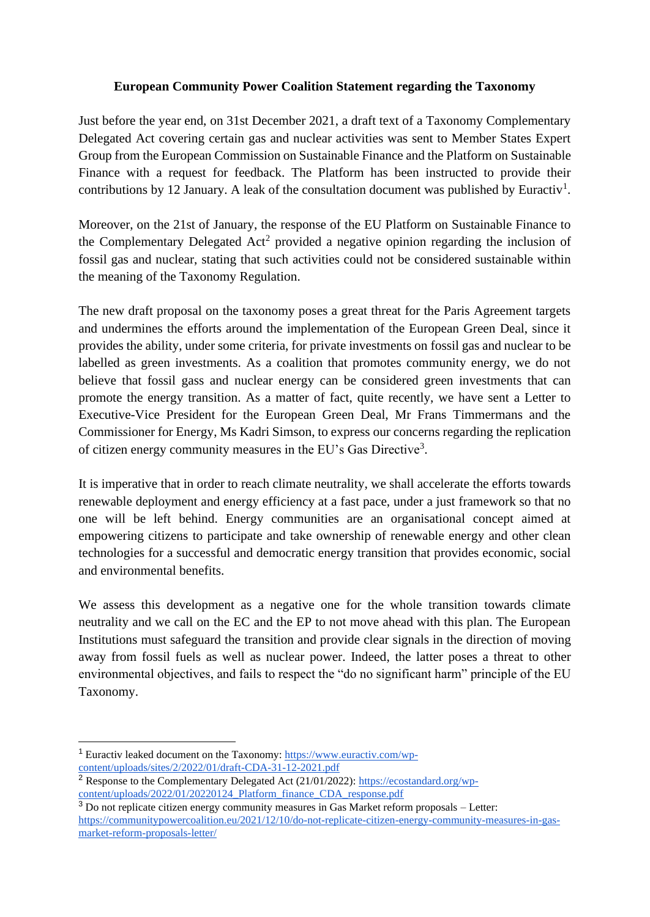## **European Community Power Coalition Statement regarding the Taxonomy**

Just before the year end, on 31st December 2021, a draft text of a Taxonomy Complementary Delegated Act covering certain gas and nuclear activities was sent to Member States Expert Group from the European Commission on Sustainable Finance and the Platform on Sustainable Finance with a request for feedback. The Platform has been instructed to provide their contributions by 12 January. A leak of the consultation document was published by Euractiv<sup>1</sup>.

Moreover, on the 21st of January, the response of the EU Platform on Sustainable Finance to the Complementary Delegated  $Act^2$  provided a negative opinion regarding the inclusion of fossil gas and nuclear, stating that such activities could not be considered sustainable within the meaning of the Taxonomy Regulation.

The new draft proposal on the taxonomy poses a great threat for the Paris Agreement targets and undermines the efforts around the implementation of the European Green Deal, since it provides the ability, under some criteria, for private investments on fossil gas and nuclear to be labelled as green investments. As a coalition that promotes community energy, we do not believe that fossil gass and nuclear energy can be considered green investments that can promote the energy transition. As a matter of fact, quite recently, we have sent a Letter to Executive-Vice President for the European Green Deal, Mr Frans Timmermans and the Commissioner for Energy, Ms Kadri Simson, to express our concerns regarding the replication of citizen energy community measures in the EU's Gas Directive<sup>3</sup>.

It is imperative that in order to reach climate neutrality, we shall accelerate the efforts towards renewable deployment and energy efficiency at a fast pace, under a just framework so that no one will be left behind. Energy communities are an organisational concept aimed at empowering citizens to participate and take ownership of renewable energy and other clean technologies for a successful and democratic energy transition that provides economic, social and environmental benefits.

We assess this development as a negative one for the whole transition towards climate neutrality and we call on the EC and the EP to not move ahead with this plan. The European Institutions must safeguard the transition and provide clear signals in the direction of moving away from fossil fuels as well as nuclear power. Indeed, the latter poses a threat to other environmental objectives, and fails to respect the "do no significant harm" principle of the EU Taxonomy.

<sup>&</sup>lt;sup>1</sup> Euractiv leaked document on the Taxonomy: [https://www.euractiv.com/wp](https://www.euractiv.com/wp-content/uploads/sites/2/2022/01/draft-CDA-31-12-2021.pdf)[content/uploads/sites/2/2022/01/draft-CDA-31-12-2021.pdf](https://www.euractiv.com/wp-content/uploads/sites/2/2022/01/draft-CDA-31-12-2021.pdf)

<sup>&</sup>lt;sup>2</sup> Response to the Complementary Delegated Act (21/01/2022): [https://ecostandard.org/wp](https://ecostandard.org/wp-content/uploads/2022/01/20220124_Platform_finance_CDA_response.pdf)[content/uploads/2022/01/20220124\\_Platform\\_finance\\_CDA\\_response.pdf](https://ecostandard.org/wp-content/uploads/2022/01/20220124_Platform_finance_CDA_response.pdf)

<sup>&</sup>lt;sup>3</sup> Do not replicate citizen energy community measures in Gas Market reform proposals – Letter: [https://communitypowercoalition.eu/2021/12/10/do-not-replicate-citizen-energy-community-measures-in-gas](https://communitypowercoalition.eu/2021/12/10/do-not-replicate-citizen-energy-community-measures-in-gas-market-reform-proposals-letter/)[market-reform-proposals-letter/](https://communitypowercoalition.eu/2021/12/10/do-not-replicate-citizen-energy-community-measures-in-gas-market-reform-proposals-letter/)